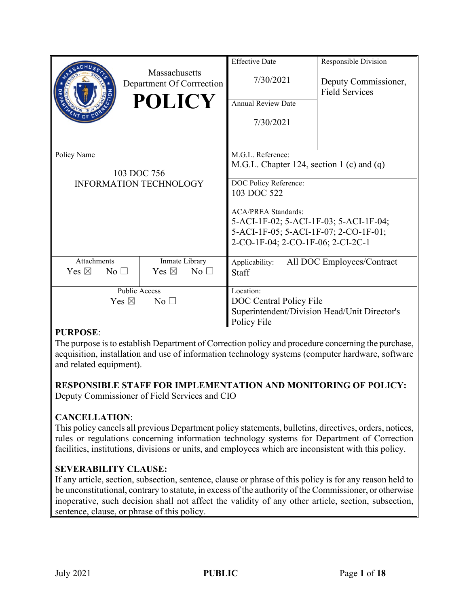|                                   |              |                                                             | <b>Effective Date</b>                     | Responsible Division                          |  |
|-----------------------------------|--------------|-------------------------------------------------------------|-------------------------------------------|-----------------------------------------------|--|
|                                   |              | Massachusetts<br>Department Of Corrrection                  | 7/30/2021                                 | Deputy Commissioner,<br><b>Field Services</b> |  |
|                                   |              | <b>POLICY</b>                                               | <b>Annual Review Date</b>                 |                                               |  |
|                                   |              |                                                             | 7/30/2021                                 |                                               |  |
|                                   |              |                                                             |                                           |                                               |  |
| Policy Name                       |              |                                                             | M.G.L. Reference:                         |                                               |  |
| 103 DOC 756                       |              |                                                             | M.G.L. Chapter 124, section 1 (c) and (q) |                                               |  |
|                                   |              | <b>INFORMATION TECHNOLOGY</b>                               | DOC Policy Reference:                     |                                               |  |
|                                   |              |                                                             | 103 DOC 522                               |                                               |  |
|                                   |              |                                                             | <b>ACA/PREA Standards:</b>                |                                               |  |
|                                   |              |                                                             |                                           | 5-ACI-1F-02; 5-ACI-1F-03; 5-ACI-1F-04;        |  |
|                                   |              |                                                             | 5-ACI-1F-05; 5-ACI-1F-07; 2-CO-1F-01;     |                                               |  |
|                                   |              |                                                             | 2-CO-1F-04; 2-CO-1F-06; 2-CI-2C-1         |                                               |  |
| Attachments                       |              | Inmate Library                                              | Applicability:                            | All DOC Employees/Contract                    |  |
| Yes $\boxtimes$                   | No $\square$ | No $\square$<br>Yes $\boxtimes$                             | <b>Staff</b>                              |                                               |  |
| <b>Public Access</b>              |              |                                                             | Location:                                 |                                               |  |
| Yes $\boxtimes$<br>$No$ $\square$ |              |                                                             | DOC Central Policy File                   |                                               |  |
|                                   |              | Superintendent/Division Head/Unit Director's<br>Policy File |                                           |                                               |  |

## **PURPOSE**:

The purpose is to establish Department of Correction policy and procedure concerning the purchase, acquisition, installation and use of information technology systems (computer hardware, software and related equipment).

## **RESPONSIBLE STAFF FOR IMPLEMENTATION AND MONITORING OF POLICY:** Deputy Commissioner of Field Services and CIO

# **CANCELLATION**:

This policy cancels all previous Department policy statements, bulletins, directives, orders, notices, rules or regulations concerning information technology systems for Department of Correction facilities, institutions, divisions or units, and employees which are inconsistent with this policy.

## **SEVERABILITY CLAUSE:**

If any article, section, subsection, sentence, clause or phrase of this policy is for any reason held to be unconstitutional, contrary to statute, in excess of the authority of the Commissioner, or otherwise inoperative, such decision shall not affect the validity of any other article, section, subsection, sentence, clause, or phrase of this policy.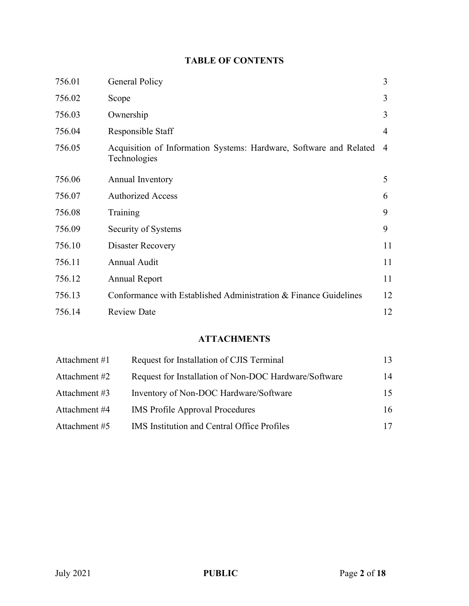# **TABLE OF CONTENTS**

| 756.01 | General Policy                                                                     | 3  |
|--------|------------------------------------------------------------------------------------|----|
| 756.02 | Scope                                                                              | 3  |
| 756.03 | Ownership                                                                          | 3  |
| 756.04 | Responsible Staff                                                                  | 4  |
| 756.05 | Acquisition of Information Systems: Hardware, Software and Related<br>Technologies | 4  |
| 756.06 | Annual Inventory                                                                   | 5  |
| 756.07 | <b>Authorized Access</b>                                                           | 6  |
| 756.08 | Training                                                                           | 9  |
| 756.09 | Security of Systems                                                                | 9  |
| 756.10 | Disaster Recovery                                                                  | 11 |
| 756.11 | <b>Annual Audit</b>                                                                | 11 |
| 756.12 | <b>Annual Report</b>                                                               | 11 |
| 756.13 | Conformance with Established Administration & Finance Guidelines                   | 12 |
| 756.14 | <b>Review Date</b>                                                                 | 12 |

# **ATTACHMENTS**

| Attachment #1 | Request for Installation of CJIS Terminal             | 13 |
|---------------|-------------------------------------------------------|----|
| Attachment #2 | Request for Installation of Non-DOC Hardware/Software | 14 |
| Attachment #3 | Inventory of Non-DOC Hardware/Software                | 15 |
| Attachment #4 | <b>IMS</b> Profile Approval Procedures                | 16 |
| Attachment #5 | IMS Institution and Central Office Profiles           | 17 |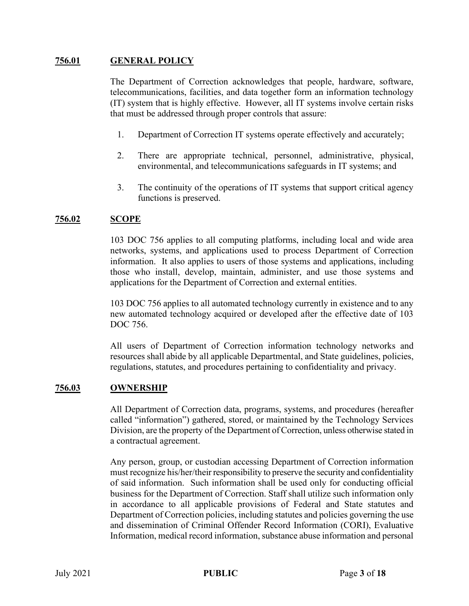### **756.01 GENERAL POLICY**

The Department of Correction acknowledges that people, hardware, software, telecommunications, facilities, and data together form an information technology (IT) system that is highly effective. However, all IT systems involve certain risks that must be addressed through proper controls that assure:

- 1. Department of Correction IT systems operate effectively and accurately;
- 2. There are appropriate technical, personnel, administrative, physical, environmental, and telecommunications safeguards in IT systems; and
- 3. The continuity of the operations of IT systems that support critical agency functions is preserved.

### **756.02 SCOPE**

103 DOC 756 applies to all computing platforms, including local and wide area networks, systems, and applications used to process Department of Correction information. It also applies to users of those systems and applications, including those who install, develop, maintain, administer, and use those systems and applications for the Department of Correction and external entities.

103 DOC 756 applies to all automated technology currently in existence and to any new automated technology acquired or developed after the effective date of 103 DOC 756.

All users of Department of Correction information technology networks and resources shall abide by all applicable Departmental, and State guidelines, policies, regulations, statutes, and procedures pertaining to confidentiality and privacy.

#### **756.03 OWNERSHIP**

All Department of Correction data, programs, systems, and procedures (hereafter called "information") gathered, stored, or maintained by the Technology Services Division, are the property of the Department of Correction, unless otherwise stated in a contractual agreement.

Any person, group, or custodian accessing Department of Correction information must recognize his/her/their responsibility to preserve the security and confidentiality of said information. Such information shall be used only for conducting official business for the Department of Correction. Staff shall utilize such information only in accordance to all applicable provisions of Federal and State statutes and Department of Correction policies, including statutes and policies governing the use and dissemination of Criminal Offender Record Information (CORI), Evaluative Information, medical record information, substance abuse information and personal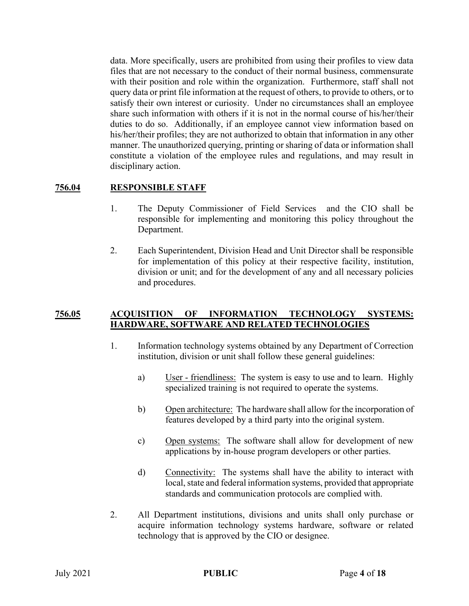data. More specifically, users are prohibited from using their profiles to view data files that are not necessary to the conduct of their normal business, commensurate with their position and role within the organization. Furthermore, staff shall not query data or print file information at the request of others, to provide to others, or to satisfy their own interest or curiosity. Under no circumstances shall an employee share such information with others if it is not in the normal course of his/her/their duties to do so. Additionally, if an employee cannot view information based on his/her/their profiles; they are not authorized to obtain that information in any other manner. The unauthorized querying, printing or sharing of data or information shall constitute a violation of the employee rules and regulations, and may result in disciplinary action.

### **756.04 RESPONSIBLE STAFF**

- 1. The Deputy Commissioner of Field Services and the CIO shall be responsible for implementing and monitoring this policy throughout the Department.
- 2. Each Superintendent, Division Head and Unit Director shall be responsible for implementation of this policy at their respective facility, institution, division or unit; and for the development of any and all necessary policies and procedures.

#### **756.05 ACQUISITION OF INFORMATION TECHNOLOGY SYSTEMS: HARDWARE, SOFTWARE AND RELATED TECHNOLOGIES**

- 1. Information technology systems obtained by any Department of Correction institution, division or unit shall follow these general guidelines:
	- a) User friendliness: The system is easy to use and to learn. Highly specialized training is not required to operate the systems.
	- b) Open architecture: The hardware shall allow for the incorporation of features developed by a third party into the original system.
	- c) Open systems: The software shall allow for development of new applications by in-house program developers or other parties.
	- d) Connectivity: The systems shall have the ability to interact with local, state and federal information systems, provided that appropriate standards and communication protocols are complied with.
- 2. All Department institutions, divisions and units shall only purchase or acquire information technology systems hardware, software or related technology that is approved by the CIO or designee.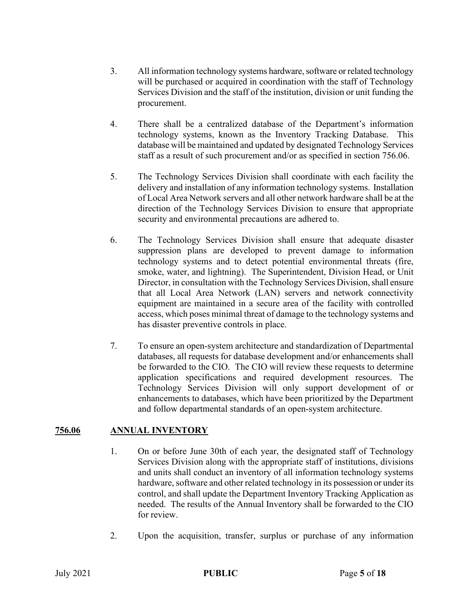- 3. All information technology systems hardware, software or related technology will be purchased or acquired in coordination with the staff of Technology Services Division and the staff of the institution, division or unit funding the procurement.
- 4. There shall be a centralized database of the Department's information technology systems, known as the Inventory Tracking Database. This database will be maintained and updated by designated Technology Services staff as a result of such procurement and/or as specified in section 756.06.
- 5. The Technology Services Division shall coordinate with each facility the delivery and installation of any information technology systems. Installation of Local Area Network servers and all other network hardware shall be at the direction of the Technology Services Division to ensure that appropriate security and environmental precautions are adhered to.
- 6. The Technology Services Division shall ensure that adequate disaster suppression plans are developed to prevent damage to information technology systems and to detect potential environmental threats (fire, smoke, water, and lightning). The Superintendent, Division Head, or Unit Director, in consultation with the Technology Services Division, shall ensure that all Local Area Network (LAN) servers and network connectivity equipment are maintained in a secure area of the facility with controlled access, which poses minimal threat of damage to the technology systems and has disaster preventive controls in place.
- 7. To ensure an open-system architecture and standardization of Departmental databases, all requests for database development and/or enhancements shall be forwarded to the CIO. The CIO will review these requests to determine application specifications and required development resources. The Technology Services Division will only support development of or enhancements to databases, which have been prioritized by the Department and follow departmental standards of an open-system architecture.

## **756.06 ANNUAL INVENTORY**

- 1. On or before June 30th of each year, the designated staff of Technology Services Division along with the appropriate staff of institutions, divisions and units shall conduct an inventory of all information technology systems hardware, software and other related technology in its possession or under its control, and shall update the Department Inventory Tracking Application as needed. The results of the Annual Inventory shall be forwarded to the CIO for review.
- 2. Upon the acquisition, transfer, surplus or purchase of any information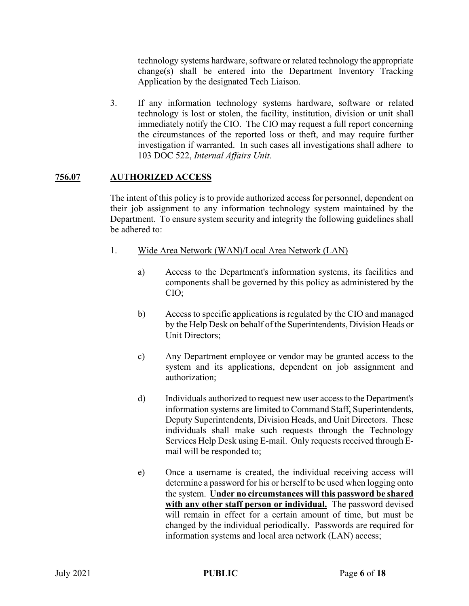technology systems hardware, software or related technology the appropriate change(s) shall be entered into the Department Inventory Tracking Application by the designated Tech Liaison.

3. If any information technology systems hardware, software or related technology is lost or stolen, the facility, institution, division or unit shall immediately notify the CIO. The CIO may request a full report concerning the circumstances of the reported loss or theft, and may require further investigation if warranted. In such cases all investigations shall adhere to 103 DOC 522, *Internal Affairs Unit*.

## **756.07 AUTHORIZED ACCESS**

The intent of this policy is to provide authorized access for personnel, dependent on their job assignment to any information technology system maintained by the Department. To ensure system security and integrity the following guidelines shall be adhered to:

- 1. Wide Area Network (WAN)/Local Area Network (LAN)
	- a) Access to the Department's information systems, its facilities and components shall be governed by this policy as administered by the CIO;
	- b) Access to specific applications is regulated by the CIO and managed by the Help Desk on behalf of the Superintendents, Division Heads or Unit Directors;
	- c) Any Department employee or vendor may be granted access to the system and its applications, dependent on job assignment and authorization;
	- d) Individuals authorized to request new user access to the Department's information systems are limited to Command Staff, Superintendents, Deputy Superintendents, Division Heads, and Unit Directors. These individuals shall make such requests through the Technology Services Help Desk using E-mail. Only requests received through Email will be responded to;
	- e) Once a username is created, the individual receiving access will determine a password for his or herself to be used when logging onto the system. **Under no circumstances will this password be shared with any other staff person or individual.** The password devised will remain in effect for a certain amount of time, but must be changed by the individual periodically. Passwords are required for information systems and local area network (LAN) access;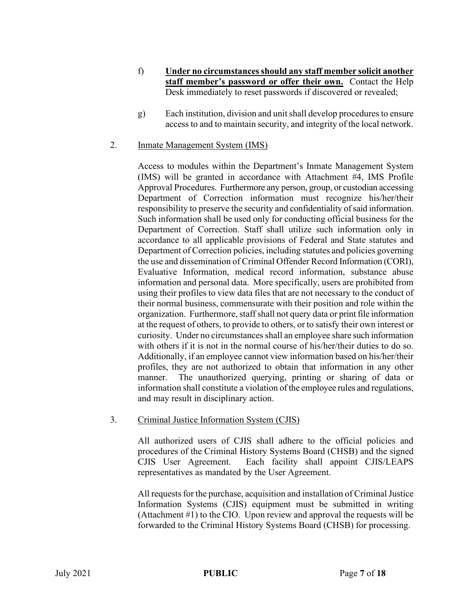- f) **Under no circumstances should any staff member solicit another staff member's password or offer their own.** Contact the Help Desk immediately to reset passwords if discovered or revealed;
- g) Each institution, division and unit shall develop procedures to ensure access to and to maintain security, and integrity of the local network.

### 2. Inmate Management System (IMS)

Access to modules within the Department's Inmate Management System (IMS) will be granted in accordance with Attachment #4, IMS Profile Approval Procedures. Furthermore any person, group, or custodian accessing Department of Correction information must recognize his/her/their responsibility to preserve the security and confidentiality of said information. Such information shall be used only for conducting official business for the Department of Correction. Staff shall utilize such information only in accordance to all applicable provisions of Federal and State statutes and Department of Correction policies, including statutes and policies governing the use and dissemination of Criminal Offender Record Information (CORI), Evaluative Information, medical record information, substance abuse information and personal data. More specifically, users are prohibited from using their profiles to view data files that are not necessary to the conduct of their normal business, commensurate with their position and role within the organization. Furthermore, staff shall not query data or print file information at the request of others, to provide to others, or to satisfy their own interest or curiosity. Under no circumstances shall an employee share such information with others if it is not in the normal course of his/her/their duties to do so. Additionally, if an employee cannot view information based on his/her/their profiles, they are not authorized to obtain that information in any other manner. The unauthorized querying, printing or sharing of data or information shall constitute a violation of the employee rules and regulations, and may result in disciplinary action.

3. Criminal Justice Information System (CJIS)

All authorized users of CJIS shall adhere to the official policies and procedures of the Criminal History Systems Board (CHSB) and the signed CJIS User Agreement. Each facility shall appoint CJIS/LEAPS representatives as mandated by the User Agreement.

All requests for the purchase, acquisition and installation of Criminal Justice Information Systems (CJIS) equipment must be submitted in writing (Attachment #1) to the CIO. Upon review and approval the requests will be forwarded to the Criminal History Systems Board (CHSB) for processing.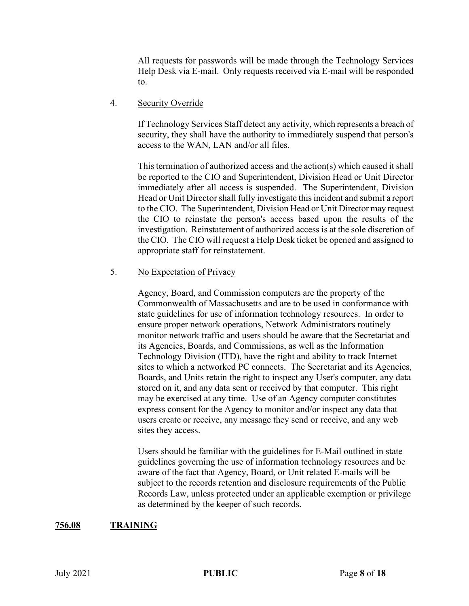All requests for passwords will be made through the Technology Services Help Desk via E-mail. Only requests received via E-mail will be responded to.

4. Security Override

If Technology Services Staff detect any activity, which represents a breach of security, they shall have the authority to immediately suspend that person's access to the WAN, LAN and/or all files.

This termination of authorized access and the action(s) which caused it shall be reported to the CIO and Superintendent, Division Head or Unit Director immediately after all access is suspended. The Superintendent, Division Head or Unit Director shall fully investigate this incident and submit a report to the CIO. The Superintendent, Division Head or Unit Director may request the CIO to reinstate the person's access based upon the results of the investigation. Reinstatement of authorized access is at the sole discretion of the CIO. The CIO will request a Help Desk ticket be opened and assigned to appropriate staff for reinstatement.

5. No Expectation of Privacy

Agency, Board, and Commission computers are the property of the Commonwealth of Massachusetts and are to be used in conformance with state guidelines for use of information technology resources. In order to ensure proper network operations, Network Administrators routinely monitor network traffic and users should be aware that the Secretariat and its Agencies, Boards, and Commissions, as well as the Information Technology Division (ITD), have the right and ability to track Internet sites to which a networked PC connects. The Secretariat and its Agencies, Boards, and Units retain the right to inspect any User's computer, any data stored on it, and any data sent or received by that computer. This right may be exercised at any time. Use of an Agency computer constitutes express consent for the Agency to monitor and/or inspect any data that users create or receive, any message they send or receive, and any web sites they access.

Users should be familiar with the guidelines for E-Mail outlined in state guidelines governing the use of information technology resources and be aware of the fact that Agency, Board, or Unit related E-mails will be subject to the records retention and disclosure requirements of the Public Records Law, unless protected under an applicable exemption or privilege as determined by the keeper of such records.

## **756.08 TRAINING**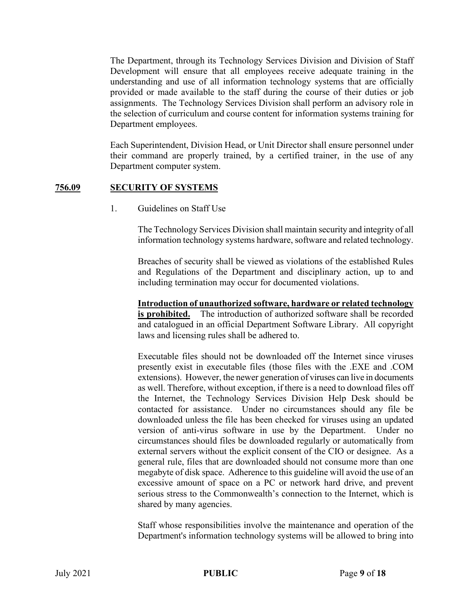The Department, through its Technology Services Division and Division of Staff Development will ensure that all employees receive adequate training in the understanding and use of all information technology systems that are officially provided or made available to the staff during the course of their duties or job assignments. The Technology Services Division shall perform an advisory role in the selection of curriculum and course content for information systems training for Department employees.

Each Superintendent, Division Head, or Unit Director shall ensure personnel under their command are properly trained, by a certified trainer, in the use of any Department computer system.

#### **756.09 SECURITY OF SYSTEMS**

1. Guidelines on Staff Use

The Technology Services Division shall maintain security and integrity of all information technology systems hardware, software and related technology.

Breaches of security shall be viewed as violations of the established Rules and Regulations of the Department and disciplinary action, up to and including termination may occur for documented violations.

**Introduction of unauthorized software, hardware or related technology is prohibited.** The introduction of authorized software shall be recorded and catalogued in an official Department Software Library. All copyright laws and licensing rules shall be adhered to.

Executable files should not be downloaded off the Internet since viruses presently exist in executable files (those files with the .EXE and .COM extensions). However, the newer generation of viruses can live in documents as well. Therefore, without exception, if there is a need to download files off the Internet, the Technology Services Division Help Desk should be contacted for assistance. Under no circumstances should any file be downloaded unless the file has been checked for viruses using an updated version of anti-virus software in use by the Department. Under no circumstances should files be downloaded regularly or automatically from external servers without the explicit consent of the CIO or designee. As a general rule, files that are downloaded should not consume more than one megabyte of disk space. Adherence to this guideline will avoid the use of an excessive amount of space on a PC or network hard drive, and prevent serious stress to the Commonwealth's connection to the Internet, which is shared by many agencies.

Staff whose responsibilities involve the maintenance and operation of the Department's information technology systems will be allowed to bring into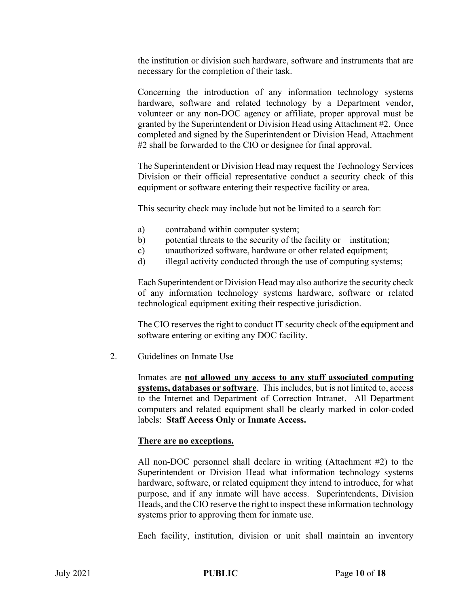the institution or division such hardware, software and instruments that are necessary for the completion of their task.

Concerning the introduction of any information technology systems hardware, software and related technology by a Department vendor, volunteer or any non-DOC agency or affiliate, proper approval must be granted by the Superintendent or Division Head using Attachment #2. Once completed and signed by the Superintendent or Division Head, Attachment #2 shall be forwarded to the CIO or designee for final approval.

The Superintendent or Division Head may request the Technology Services Division or their official representative conduct a security check of this equipment or software entering their respective facility or area.

This security check may include but not be limited to a search for:

- a) contraband within computer system;
- b) potential threats to the security of the facility or institution;
- c) unauthorized software, hardware or other related equipment;
- d) illegal activity conducted through the use of computing systems;

Each Superintendent or Division Head may also authorize the security check of any information technology systems hardware, software or related technological equipment exiting their respective jurisdiction.

The CIO reserves the right to conduct IT security check of the equipment and software entering or exiting any DOC facility.

2. Guidelines on Inmate Use

Inmates are **not allowed any access to any staff associated computing systems, databases or software**. This includes, but is not limited to, access to the Internet and Department of Correction Intranet. All Department computers and related equipment shall be clearly marked in color-coded labels: **Staff Access Only** or **Inmate Access.**

## **There are no exceptions.**

All non-DOC personnel shall declare in writing (Attachment #2) to the Superintendent or Division Head what information technology systems hardware, software, or related equipment they intend to introduce, for what purpose, and if any inmate will have access. Superintendents, Division Heads, and the CIO reserve the right to inspect these information technology systems prior to approving them for inmate use.

Each facility, institution, division or unit shall maintain an inventory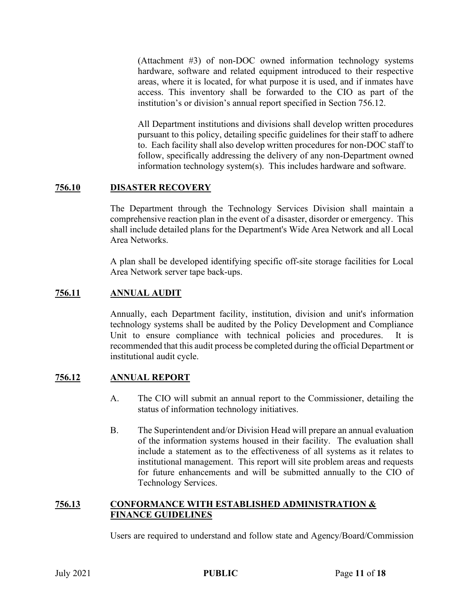(Attachment #3) of non-DOC owned information technology systems hardware, software and related equipment introduced to their respective areas, where it is located, for what purpose it is used, and if inmates have access. This inventory shall be forwarded to the CIO as part of the institution's or division's annual report specified in Section 756.12.

All Department institutions and divisions shall develop written procedures pursuant to this policy, detailing specific guidelines for their staff to adhere to. Each facility shall also develop written procedures for non-DOC staff to follow, specifically addressing the delivery of any non-Department owned information technology system(s). This includes hardware and software.

## **756.10 DISASTER RECOVERY**

The Department through the Technology Services Division shall maintain a comprehensive reaction plan in the event of a disaster, disorder or emergency. This shall include detailed plans for the Department's Wide Area Network and all Local Area Networks.

A plan shall be developed identifying specific off-site storage facilities for Local Area Network server tape back-ups.

## **756.11 ANNUAL AUDIT**

Annually, each Department facility, institution, division and unit's information technology systems shall be audited by the Policy Development and Compliance Unit to ensure compliance with technical policies and procedures. It is recommended that this audit process be completed during the official Department or institutional audit cycle.

## **756.12 ANNUAL REPORT**

- A. The CIO will submit an annual report to the Commissioner, detailing the status of information technology initiatives.
- B. The Superintendent and/or Division Head will prepare an annual evaluation of the information systems housed in their facility. The evaluation shall include a statement as to the effectiveness of all systems as it relates to institutional management. This report will site problem areas and requests for future enhancements and will be submitted annually to the CIO of Technology Services.

#### **756.13 CONFORMANCE WITH ESTABLISHED ADMINISTRATION & FINANCE GUIDELINES**

Users are required to understand and follow state and Agency/Board/Commission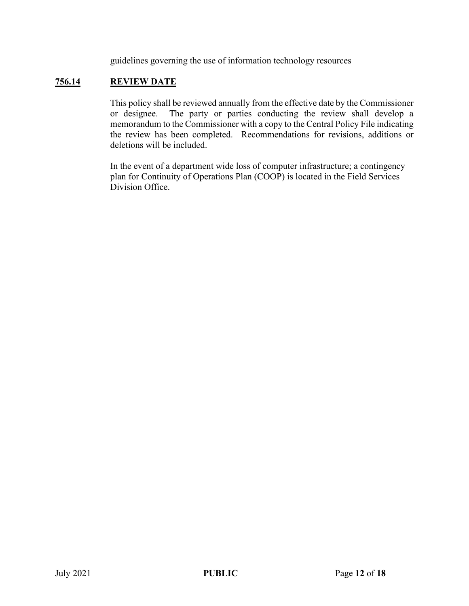guidelines governing the use of information technology resources

## **756.14 REVIEW DATE**

This policy shall be reviewed annually from the effective date by the Commissioner or designee. The party or parties conducting the review shall develop a memorandum to the Commissioner with a copy to the Central Policy File indicating the review has been completed. Recommendations for revisions, additions or deletions will be included.

In the event of a department wide loss of computer infrastructure; a contingency plan for Continuity of Operations Plan (COOP) is located in the Field Services Division Office.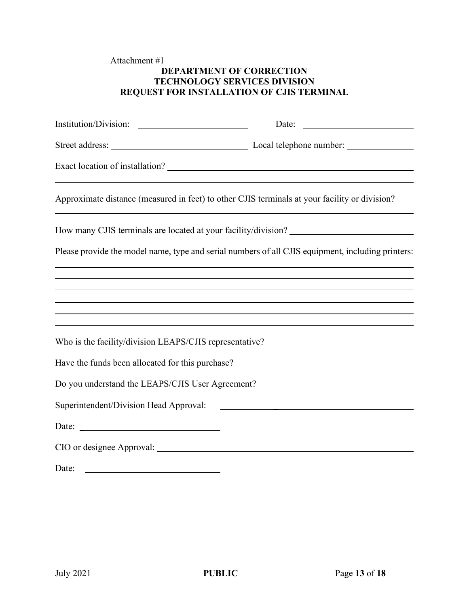## Attachment #1 **DEPARTMENT OF CORRECTION TECHNOLOGY SERVICES DIVISION REQUEST FOR INSTALLATION OF CJIS TERMINAL**

|                                        | Date:<br><u> 1980 - Jan Samuel Barbara, politik eta politik eta politik eta politik eta politik eta politik eta politik e</u>                                                                                                        |
|----------------------------------------|--------------------------------------------------------------------------------------------------------------------------------------------------------------------------------------------------------------------------------------|
|                                        |                                                                                                                                                                                                                                      |
|                                        |                                                                                                                                                                                                                                      |
|                                        | Approximate distance (measured in feet) to other CJIS terminals at your facility or division?                                                                                                                                        |
|                                        |                                                                                                                                                                                                                                      |
|                                        | Please provide the model name, type and serial numbers of all CJIS equipment, including printers:                                                                                                                                    |
|                                        | ,我们也不会有什么。""我们的人,我们也不会有什么?""我们的人,我们也不会有什么?""我们的人,我们也不会有什么?""我们的人,我们也不会有什么?""我们的人                                                                                                                                                     |
|                                        |                                                                                                                                                                                                                                      |
|                                        | ,我们也不会有什么。""我们的人,我们也不会有什么?""我们的人,我们也不会有什么?""我们的人,我们也不会有什么?""我们的人,我们也不会有什么?""我们的人                                                                                                                                                     |
|                                        |                                                                                                                                                                                                                                      |
|                                        | Have the funds been allocated for this purchase? ________________________________                                                                                                                                                    |
|                                        | Do you understand the LEAPS/CJIS User Agreement? _______________________________                                                                                                                                                     |
| Superintendent/Division Head Approval: | <u>and the contract of the contract of the contract of the contract of the contract of the contract of the contract of the contract of the contract of the contract of the contract of the contract of the contract of the contr</u> |
|                                        |                                                                                                                                                                                                                                      |
|                                        |                                                                                                                                                                                                                                      |

Date: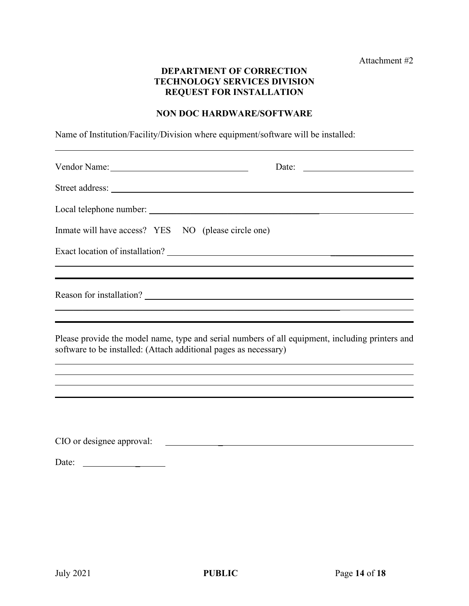## **DEPARTMENT OF CORRECTION TECHNOLOGY SERVICES DIVISION REQUEST FOR INSTALLATION**

## **NON DOC HARDWARE/SOFTWARE**

Name of Institution/Facility/Division where equipment/software will be installed:

|                                                                                                                                                                                                                                                                                                                                             |  |  | Date: $\qquad \qquad$ |
|---------------------------------------------------------------------------------------------------------------------------------------------------------------------------------------------------------------------------------------------------------------------------------------------------------------------------------------------|--|--|-----------------------|
|                                                                                                                                                                                                                                                                                                                                             |  |  |                       |
|                                                                                                                                                                                                                                                                                                                                             |  |  |                       |
| Inmate will have access? YES NO (please circle one)                                                                                                                                                                                                                                                                                         |  |  |                       |
|                                                                                                                                                                                                                                                                                                                                             |  |  |                       |
| ,我们也不会有什么?""我们的人,我们也不会有什么?""我们的人,我们也不会有什么?""我们的人,我们也不会有什么?""我们的人,我们也不会有什么?""我们的人                                                                                                                                                                                                                                                            |  |  |                       |
| ,我们也不会有什么。""我们的人,我们也不会有什么?""我们的人,我们也不会有什么?""我们的人,我们也不会有什么?""我们的人,我们也不会有什么?""我们的人<br>Please provide the model name, type and serial numbers of all equipment, including printers and<br>software to be installed: (Attach additional pages as necessary)<br><u> 1989 - Andrea Barbara, amerikan basar basa dan basa dan basa dan basa da</u> |  |  |                       |
|                                                                                                                                                                                                                                                                                                                                             |  |  |                       |
| CIO or designee approval:                                                                                                                                                                                                                                                                                                                   |  |  |                       |
| Date:                                                                                                                                                                                                                                                                                                                                       |  |  |                       |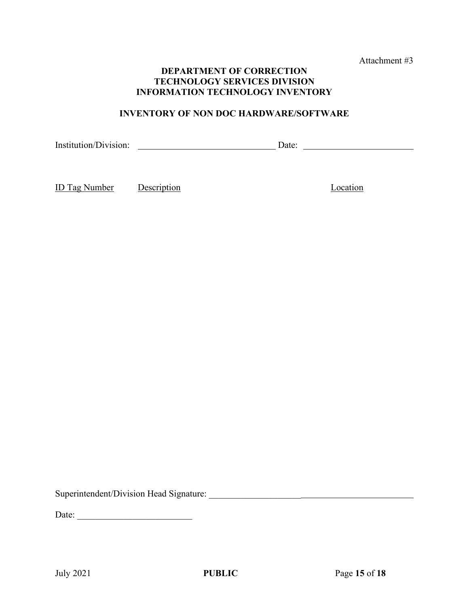Attachment #3

### **DEPARTMENT OF CORRECTION TECHNOLOGY SERVICES DIVISION INFORMATION TECHNOLOGY INVENTORY**

### **INVENTORY OF NON DOC HARDWARE/SOFTWARE**

Institution/Division: Date:

ID Tag Number Description Location

Superintendent/Division Head Signature:

Date: \_\_\_\_\_\_\_\_\_\_\_\_\_\_\_\_\_\_\_\_\_\_\_\_\_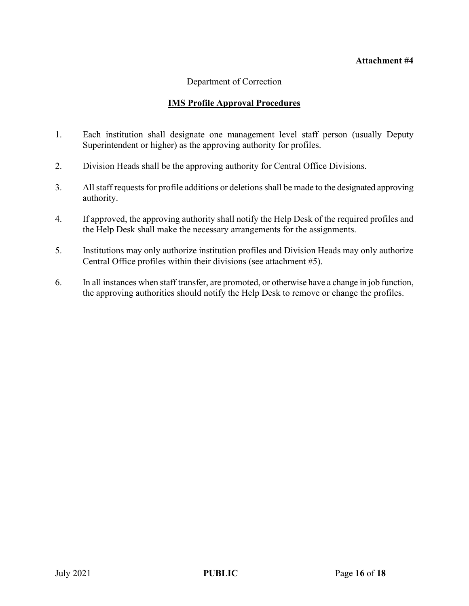#### **Attachment #4**

#### Department of Correction

# **IMS Profile Approval Procedures**

- 1. Each institution shall designate one management level staff person (usually Deputy Superintendent or higher) as the approving authority for profiles.
- 2. Division Heads shall be the approving authority for Central Office Divisions.
- 3. All staff requests for profile additions or deletions shall be made to the designated approving authority.
- 4. If approved, the approving authority shall notify the Help Desk of the required profiles and the Help Desk shall make the necessary arrangements for the assignments.
- 5. Institutions may only authorize institution profiles and Division Heads may only authorize Central Office profiles within their divisions (see attachment #5).
- 6. In all instances when staff transfer, are promoted, or otherwise have a change in job function, the approving authorities should notify the Help Desk to remove or change the profiles.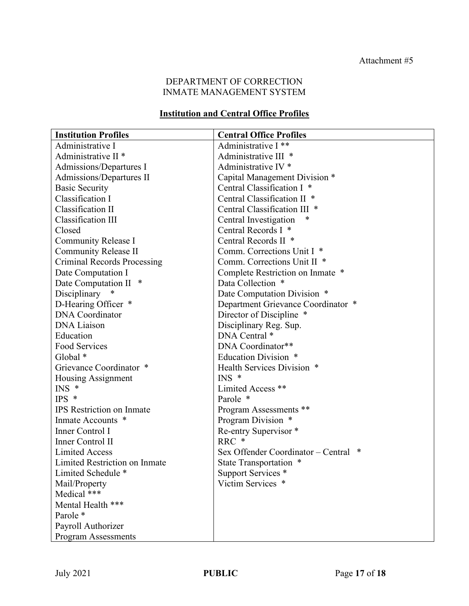## DEPARTMENT OF CORRECTION INMATE MANAGEMENT SYSTEM

# **Institution and Central Office Profiles**

| <b>Institution Profiles</b>      | <b>Central Office Profiles</b>         |
|----------------------------------|----------------------------------------|
| Administrative I                 | Administrative I **                    |
| Administrative II <sup>*</sup>   | Administrative III *                   |
| Admissions/Departures I          | Administrative IV <sup>*</sup>         |
| Admissions/Departures II         | Capital Management Division *          |
| <b>Basic Security</b>            | Central Classification I *             |
| Classification I                 | Central Classification II <sup>*</sup> |
| Classification II                | Central Classification III *           |
| Classification III               | *<br>Central Investigation             |
| Closed                           | Central Records I *                    |
| Community Release I              | Central Records II *                   |
| <b>Community Release II</b>      | Comm. Corrections Unit I *             |
| Criminal Records Processing      | Comm. Corrections Unit II *            |
| Date Computation I               | Complete Restriction on Inmate *       |
| Date Computation II *            | Data Collection *                      |
| Disciplinary                     | Date Computation Division *            |
| D-Hearing Officer *              | Department Grievance Coordinator *     |
| <b>DNA</b> Coordinator           | Director of Discipline *               |
| <b>DNA Liaison</b>               | Disciplinary Reg. Sup.                 |
| Education                        | DNA Central *                          |
| <b>Food Services</b>             | DNA Coordinator**                      |
| Global *                         | Education Division *                   |
| Grievance Coordinator *          | Health Services Division *             |
| Housing Assignment               | $INS *$                                |
| $INS *$                          | Limited Access <sup>**</sup>           |
| $IPS *$                          | Parole *                               |
| <b>IPS</b> Restriction on Inmate | Program Assessments **                 |
| Inmate Accounts *                | Program Division *                     |
| Inner Control I                  | Re-entry Supervisor *                  |
| Inner Control II                 | RRC *                                  |
| <b>Limited Access</b>            | Sex Offender Coordinator - Central *   |
| Limited Restriction on Inmate    | State Transportation *                 |
| Limited Schedule <sup>*</sup>    | Support Services *                     |
| Mail/Property                    | Victim Services *                      |
| Medical ***                      |                                        |
| Mental Health ***                |                                        |
| Parole*                          |                                        |
| Payroll Authorizer               |                                        |
| <b>Program Assessments</b>       |                                        |